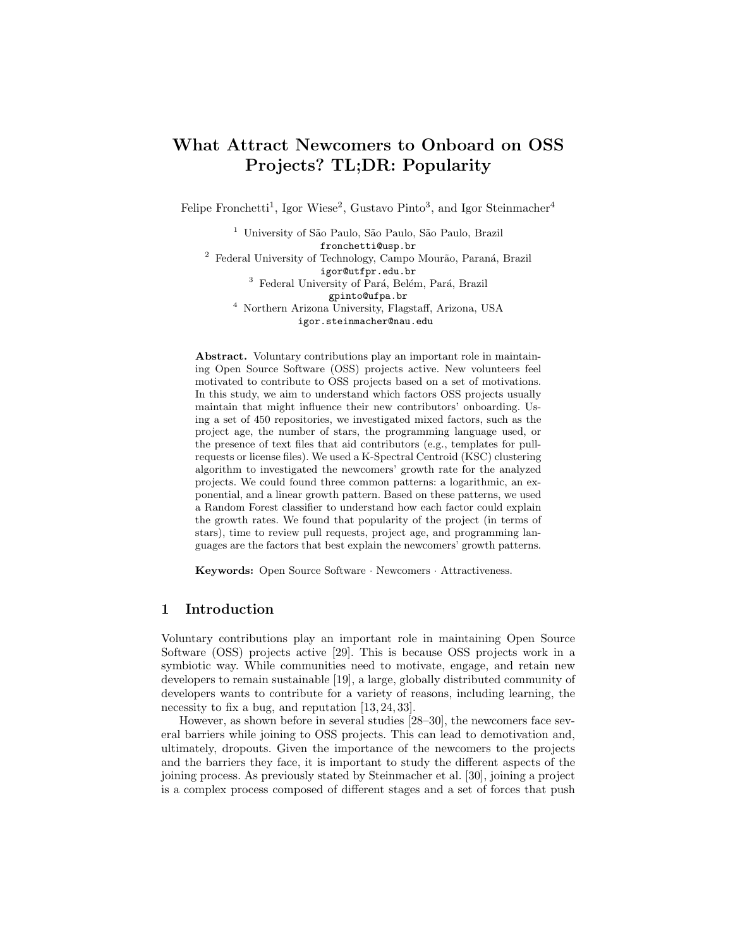# What Attract Newcomers to Onboard on OSS Projects? TL;DR: Popularity

Felipe Fronchetti<sup>1</sup>, Igor Wiese<sup>2</sup>, Gustavo Pinto<sup>3</sup>, and Igor Steinmacher<sup>4</sup>

<sup>1</sup> University of São Paulo, São Paulo, São Paulo, Brazil fronchetti@usp.br  $^{\rm 2}$  Federal University of Technology, Campo Mourão, Paraná, Brazil igor@utfpr.edu.br <sup>3</sup> Federal University of Pará, Belém, Pará, Brazil gpinto@ufpa.br <sup>4</sup> Northern Arizona University, Flagstaff, Arizona, USA igor.steinmacher@nau.edu

Abstract. Voluntary contributions play an important role in maintaining Open Source Software (OSS) projects active. New volunteers feel motivated to contribute to OSS projects based on a set of motivations. In this study, we aim to understand which factors OSS projects usually maintain that might influence their new contributors' onboarding. Using a set of 450 repositories, we investigated mixed factors, such as the project age, the number of stars, the programming language used, or the presence of text files that aid contributors (e.g., templates for pullrequests or license files). We used a K-Spectral Centroid (KSC) clustering algorithm to investigated the newcomers' growth rate for the analyzed projects. We could found three common patterns: a logarithmic, an exponential, and a linear growth pattern. Based on these patterns, we used a Random Forest classifier to understand how each factor could explain the growth rates. We found that popularity of the project (in terms of stars), time to review pull requests, project age, and programming languages are the factors that best explain the newcomers' growth patterns.

Keywords: Open Source Software · Newcomers · Attractiveness.

### 1 Introduction

Voluntary contributions play an important role in maintaining Open Source Software (OSS) projects active [29]. This is because OSS projects work in a symbiotic way. While communities need to motivate, engage, and retain new developers to remain sustainable [19], a large, globally distributed community of developers wants to contribute for a variety of reasons, including learning, the necessity to fix a bug, and reputation [13, 24, 33].

However, as shown before in several studies [28–30], the newcomers face several barriers while joining to OSS projects. This can lead to demotivation and, ultimately, dropouts. Given the importance of the newcomers to the projects and the barriers they face, it is important to study the different aspects of the joining process. As previously stated by Steinmacher et al. [30], joining a project is a complex process composed of different stages and a set of forces that push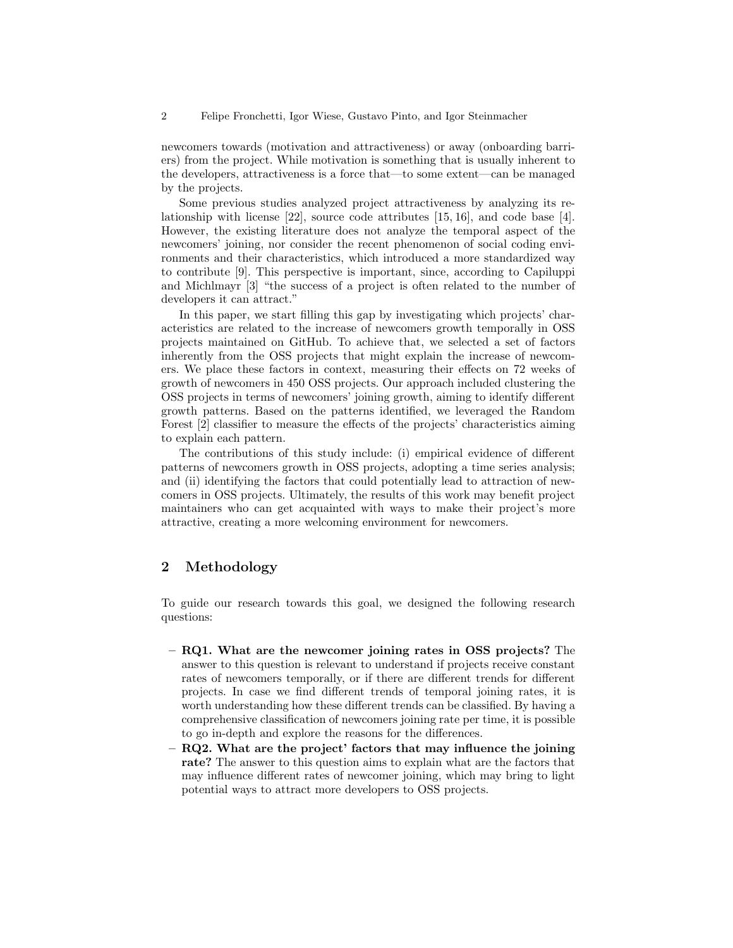2 Felipe Fronchetti, Igor Wiese, Gustavo Pinto, and Igor Steinmacher

newcomers towards (motivation and attractiveness) or away (onboarding barriers) from the project. While motivation is something that is usually inherent to the developers, attractiveness is a force that—to some extent—can be managed by the projects.

Some previous studies analyzed project attractiveness by analyzing its relationship with license [22], source code attributes [15, 16], and code base [4]. However, the existing literature does not analyze the temporal aspect of the newcomers' joining, nor consider the recent phenomenon of social coding environments and their characteristics, which introduced a more standardized way to contribute [9]. This perspective is important, since, according to Capiluppi and Michlmayr [3] "the success of a project is often related to the number of developers it can attract."

In this paper, we start filling this gap by investigating which projects' characteristics are related to the increase of newcomers growth temporally in OSS projects maintained on GitHub. To achieve that, we selected a set of factors inherently from the OSS projects that might explain the increase of newcomers. We place these factors in context, measuring their effects on 72 weeks of growth of newcomers in 450 OSS projects. Our approach included clustering the OSS projects in terms of newcomers' joining growth, aiming to identify different growth patterns. Based on the patterns identified, we leveraged the Random Forest [2] classifier to measure the effects of the projects' characteristics aiming to explain each pattern.

The contributions of this study include: (i) empirical evidence of different patterns of newcomers growth in OSS projects, adopting a time series analysis; and (ii) identifying the factors that could potentially lead to attraction of newcomers in OSS projects. Ultimately, the results of this work may benefit project maintainers who can get acquainted with ways to make their project's more attractive, creating a more welcoming environment for newcomers.

## 2 Methodology

To guide our research towards this goal, we designed the following research questions:

- RQ1. What are the newcomer joining rates in OSS projects? The answer to this question is relevant to understand if projects receive constant rates of newcomers temporally, or if there are different trends for different projects. In case we find different trends of temporal joining rates, it is worth understanding how these different trends can be classified. By having a comprehensive classification of newcomers joining rate per time, it is possible to go in-depth and explore the reasons for the differences.
- RQ2. What are the project' factors that may influence the joining rate? The answer to this question aims to explain what are the factors that may influence different rates of newcomer joining, which may bring to light potential ways to attract more developers to OSS projects.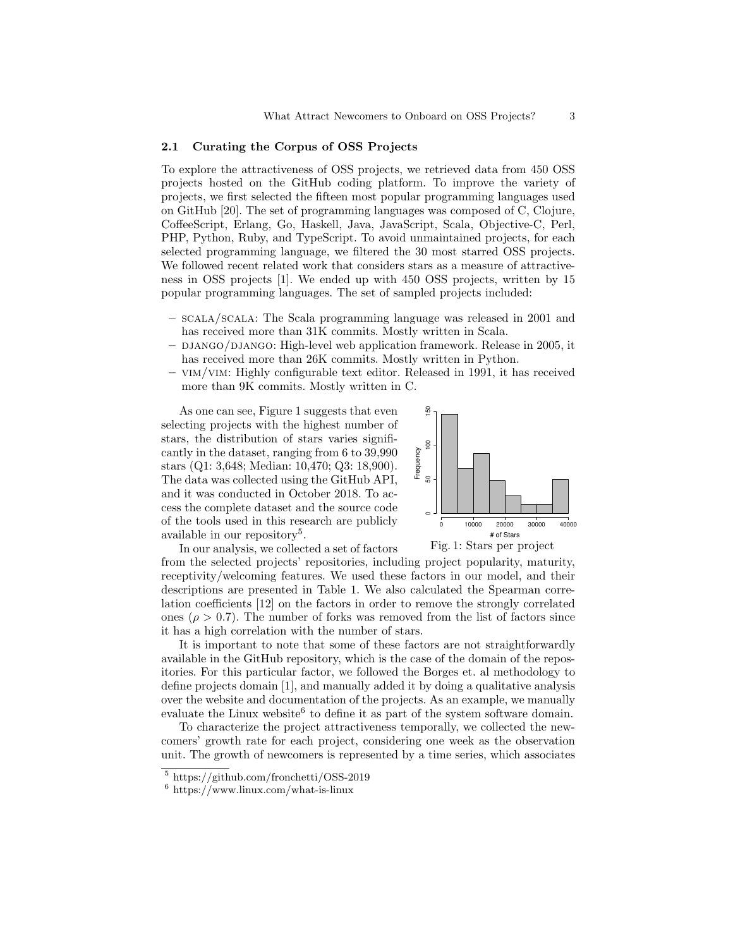#### 2.1 Curating the Corpus of OSS Projects

To explore the attractiveness of OSS projects, we retrieved data from 450 OSS projects hosted on the GitHub coding platform. To improve the variety of projects, we first selected the fifteen most popular programming languages used on GitHub [20]. The set of programming languages was composed of C, Clojure, CoffeeScript, Erlang, Go, Haskell, Java, JavaScript, Scala, Objective-C, Perl, PHP, Python, Ruby, and TypeScript. To avoid unmaintained projects, for each selected programming language, we filtered the 30 most starred OSS projects. We followed recent related work that considers stars as a measure of attractiveness in OSS projects [1]. We ended up with 450 OSS projects, written by 15 popular programming languages. The set of sampled projects included:

- scala/scala: The Scala programming language was released in 2001 and has received more than 31K commits. Mostly written in Scala.
- django/django: High-level web application framework. Release in 2005, it has received more than 26K commits. Mostly written in Python.
- vim/vim: Highly configurable text editor. Released in 1991, it has received more than 9K commits. Mostly written in C.

As one can see, Figure 1 suggests that even selecting projects with the highest number of stars, the distribution of stars varies significantly in the dataset, ranging from 6 to 39,990 stars (Q1: 3,648; Median: 10,470; Q3: 18,900). The data was collected using the GitHub API, and it was conducted in October 2018. To access the complete dataset and the source code of the tools used in this research are publicly available in our repository<sup>5</sup>.



In our analysis, we collected a set of factors

from the selected projects' repositories, including project popularity, maturity, receptivity/welcoming features. We used these factors in our model, and their descriptions are presented in Table 1. We also calculated the Spearman correlation coefficients [12] on the factors in order to remove the strongly correlated ones ( $\rho > 0.7$ ). The number of forks was removed from the list of factors since it has a high correlation with the number of stars.

It is important to note that some of these factors are not straightforwardly available in the GitHub repository, which is the case of the domain of the repositories. For this particular factor, we followed the Borges et. al methodology to define projects domain [1], and manually added it by doing a qualitative analysis over the website and documentation of the projects. As an example, we manually evaluate the Linux website<sup>6</sup> to define it as part of the system software domain.

To characterize the project attractiveness temporally, we collected the newcomers' growth rate for each project, considering one week as the observation unit. The growth of newcomers is represented by a time series, which associates

<sup>5</sup> https://github.com/fronchetti/OSS-2019

 $6$  https://www.linux.com/what-is-linux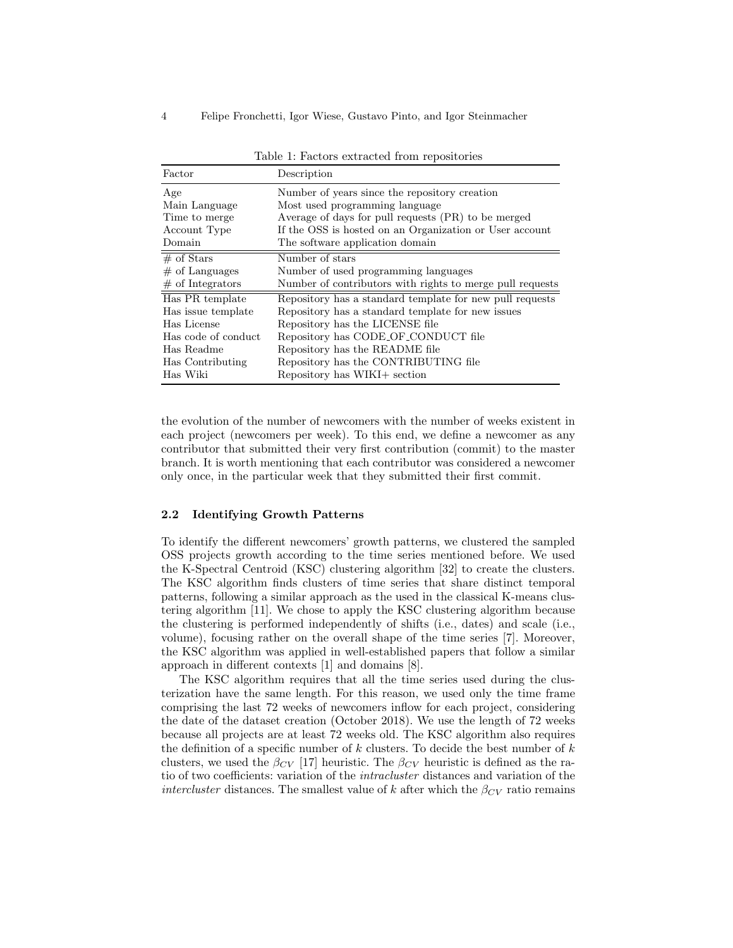| Factor              | Description                                               |  |  |
|---------------------|-----------------------------------------------------------|--|--|
| Age                 | Number of years since the repository creation             |  |  |
| Main Language       | Most used programming language                            |  |  |
| Time to merge       | Average of days for pull requests (PR) to be merged       |  |  |
| Account Type        | If the OSS is hosted on an Organization or User account   |  |  |
| Domain              | The software application domain                           |  |  |
| $#$ of Stars        | Number of stars                                           |  |  |
| $\#$ of Languages   | Number of used programming languages                      |  |  |
| $\#$ of Integrators | Number of contributors with rights to merge pull requests |  |  |
| Has PR template     | Repository has a standard template for new pull requests  |  |  |
| Has issue template  | Repository has a standard template for new issues         |  |  |
| Has License         | Repository has the LICENSE file                           |  |  |
| Has code of conduct | Repository has CODE_OF_CONDUCT file                       |  |  |
| Has Readme          | Repository has the README file                            |  |  |
| Has Contributing    | Repository has the CONTRIBUTING file                      |  |  |
| Has Wiki            | Repository has WIKI+ section                              |  |  |

Table 1: Factors extracted from repositories

the evolution of the number of newcomers with the number of weeks existent in each project (newcomers per week). To this end, we define a newcomer as any contributor that submitted their very first contribution (commit) to the master branch. It is worth mentioning that each contributor was considered a newcomer only once, in the particular week that they submitted their first commit.

#### 2.2 Identifying Growth Patterns

To identify the different newcomers' growth patterns, we clustered the sampled OSS projects growth according to the time series mentioned before. We used the K-Spectral Centroid (KSC) clustering algorithm [32] to create the clusters. The KSC algorithm finds clusters of time series that share distinct temporal patterns, following a similar approach as the used in the classical K-means clustering algorithm [11]. We chose to apply the KSC clustering algorithm because the clustering is performed independently of shifts (i.e., dates) and scale (i.e., volume), focusing rather on the overall shape of the time series [7]. Moreover, the KSC algorithm was applied in well-established papers that follow a similar approach in different contexts [1] and domains [8].

The KSC algorithm requires that all the time series used during the clusterization have the same length. For this reason, we used only the time frame comprising the last 72 weeks of newcomers inflow for each project, considering the date of the dataset creation (October 2018). We use the length of 72 weeks because all projects are at least 72 weeks old. The KSC algorithm also requires the definition of a specific number of  $k$  clusters. To decide the best number of  $k$ clusters, we used the  $\beta_{CV}$  [17] heuristic. The  $\beta_{CV}$  heuristic is defined as the ratio of two coefficients: variation of the intracluster distances and variation of the *intercluster* distances. The smallest value of k after which the  $\beta_{CV}$  ratio remains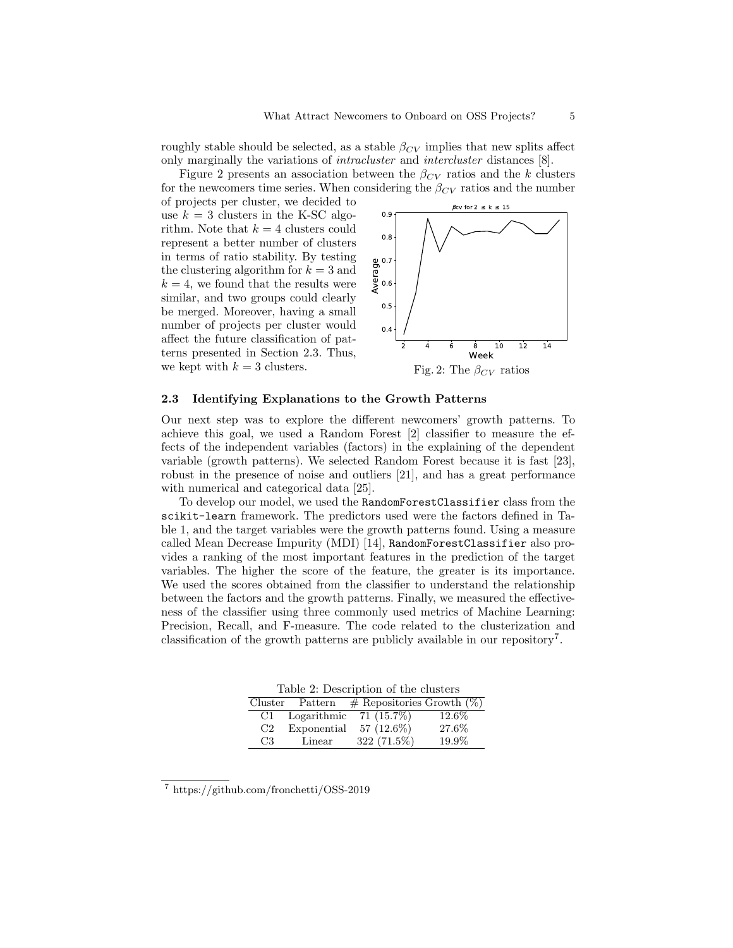roughly stable should be selected, as a stable  $\beta_{CV}$  implies that new splits affect only marginally the variations of intracluster and intercluster distances [8].

Figure 2 presents an association between the  $\beta_{CV}$  ratios and the k clusters for the newcomers time series. When considering the  $\beta_{CV}$  ratios and the number

of projects per cluster, we decided to use  $k = 3$  clusters in the K-SC algorithm. Note that  $k = 4$  clusters could represent a better number of clusters in terms of ratio stability. By testing the clustering algorithm for  $k = 3$  and  $k = 4$ , we found that the results were similar, and two groups could clearly be merged. Moreover, having a small number of projects per cluster would affect the future classification of patterns presented in Section 2.3. Thus, we kept with  $k = 3$  clusters.



#### 2.3 Identifying Explanations to the Growth Patterns

Our next step was to explore the different newcomers' growth patterns. To achieve this goal, we used a Random Forest [2] classifier to measure the effects of the independent variables (factors) in the explaining of the dependent variable (growth patterns). We selected Random Forest because it is fast [23], robust in the presence of noise and outliers [21], and has a great performance with numerical and categorical data [25].

To develop our model, we used the RandomForestClassifier class from the scikit-learn framework. The predictors used were the factors defined in Table 1, and the target variables were the growth patterns found. Using a measure called Mean Decrease Impurity (MDI) [14], RandomForestClassifier also provides a ranking of the most important features in the prediction of the target variables. The higher the score of the feature, the greater is its importance. We used the scores obtained from the classifier to understand the relationship between the factors and the growth patterns. Finally, we measured the effectiveness of the classifier using three commonly used metrics of Machine Learning: Precision, Recall, and F-measure. The code related to the clusterization and classification of the growth patterns are publicly available in our repository<sup>7</sup> .

| Table 2: Description of the clusters |             |                                                 |       |  |  |  |
|--------------------------------------|-------------|-------------------------------------------------|-------|--|--|--|
|                                      |             | Cluster Pattern $\#$ Repositories Growth $(\%)$ |       |  |  |  |
| C1                                   | Logarithmic | 71 (15.7%)                                      | 12.6% |  |  |  |
| C2                                   | Exponential | 57 $(12.6\%)$                                   | 27.6% |  |  |  |
| C3                                   | Linear      | 322 (71.5%)                                     | 19.9% |  |  |  |

Table 2: Description of the clusters

<sup>7</sup> https://github.com/fronchetti/OSS-2019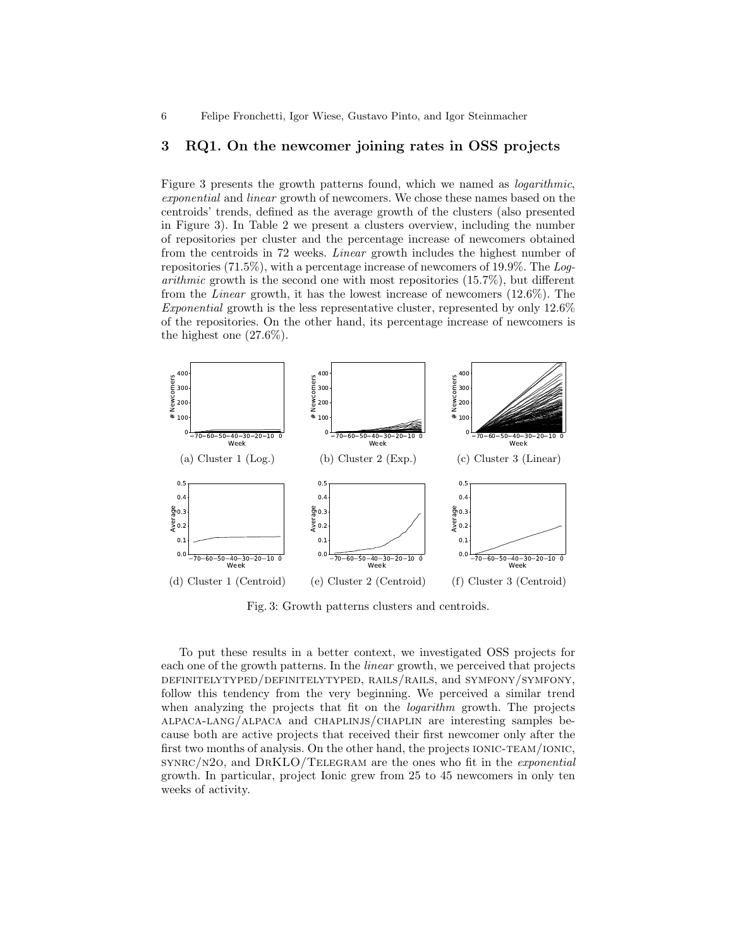#### 3 RQ1. On the newcomer joining rates in OSS projects

Figure 3 presents the growth patterns found, which we named as logarithmic, exponential and linear growth of newcomers. We chose these names based on the centroids' trends, defined as the average growth of the clusters (also presented in Figure 3). In Table 2 we present a clusters overview, including the number of repositories per cluster and the percentage increase of newcomers obtained from the centroids in 72 weeks. Linear growth includes the highest number of repositories (71.5%), with a percentage increase of newcomers of 19.9%. The Logarithmic growth is the second one with most repositories (15.7%), but different from the Linear growth, it has the lowest increase of newcomers (12.6%). The Exponential growth is the less representative cluster, represented by only 12.6% of the repositories. On the other hand, its percentage increase of newcomers is the highest one (27.6%).



Fig. 3: Growth patterns clusters and centroids.

To put these results in a better context, we investigated OSS projects for each one of the growth patterns. In the *linear* growth, we perceived that projects definitelytyped/definitelytyped, rails/rails, and symfony/symfony, follow this tendency from the very beginning. We perceived a similar trend when analyzing the projects that fit on the *logarithm* growth. The projects alpaca-lang/alpaca and chaplinjs/chaplin are interesting samples because both are active projects that received their first newcomer only after the first two months of analysis. On the other hand, the projects IONIC-TEAM/IONIC,  $SYNRC/N2O$ , and  $DRKLO/TELEGRAM$  are the ones who fit in the *exponential* growth. In particular, project Ionic grew from 25 to 45 newcomers in only ten weeks of activity.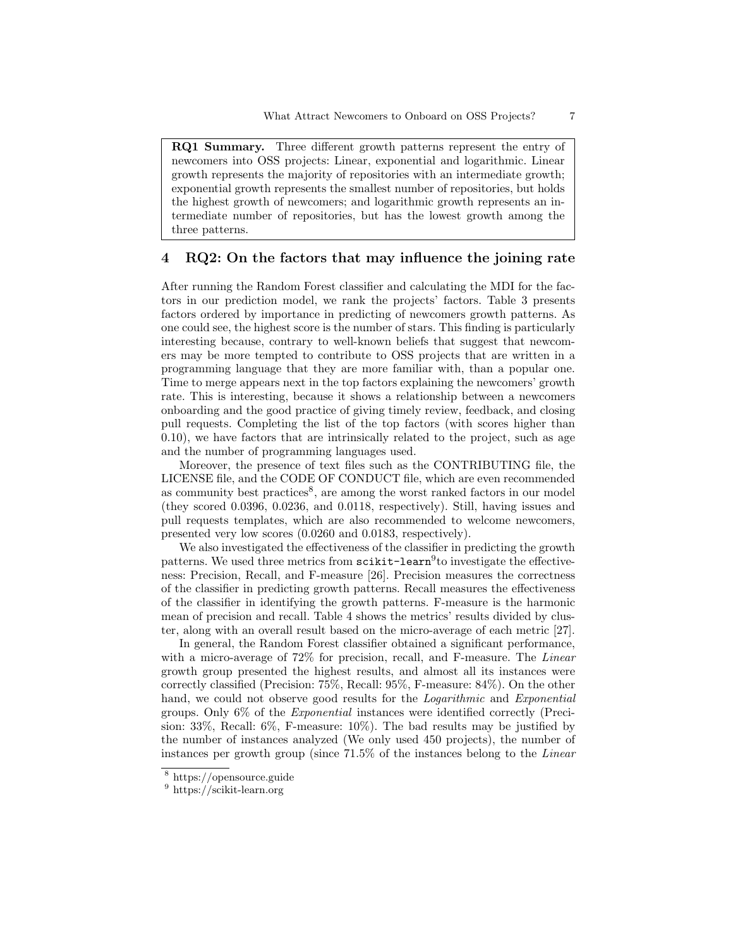RQ1 Summary. Three different growth patterns represent the entry of newcomers into OSS projects: Linear, exponential and logarithmic. Linear growth represents the majority of repositories with an intermediate growth; exponential growth represents the smallest number of repositories, but holds the highest growth of newcomers; and logarithmic growth represents an intermediate number of repositories, but has the lowest growth among the three patterns.

### 4 RQ2: On the factors that may influence the joining rate

After running the Random Forest classifier and calculating the MDI for the factors in our prediction model, we rank the projects' factors. Table 3 presents factors ordered by importance in predicting of newcomers growth patterns. As one could see, the highest score is the number of stars. This finding is particularly interesting because, contrary to well-known beliefs that suggest that newcomers may be more tempted to contribute to OSS projects that are written in a programming language that they are more familiar with, than a popular one. Time to merge appears next in the top factors explaining the newcomers' growth rate. This is interesting, because it shows a relationship between a newcomers onboarding and the good practice of giving timely review, feedback, and closing pull requests. Completing the list of the top factors (with scores higher than 0.10), we have factors that are intrinsically related to the project, such as age and the number of programming languages used.

Moreover, the presence of text files such as the CONTRIBUTING file, the LICENSE file, and the CODE OF CONDUCT file, which are even recommended as community best practices<sup>8</sup>, are among the worst ranked factors in our model (they scored 0.0396, 0.0236, and 0.0118, respectively). Still, having issues and pull requests templates, which are also recommended to welcome newcomers, presented very low scores (0.0260 and 0.0183, respectively).

We also investigated the effectiveness of the classifier in predicting the growth patterns. We used three metrics from scikit-learn<sup>9</sup>to investigate the effectiveness: Precision, Recall, and F-measure [26]. Precision measures the correctness of the classifier in predicting growth patterns. Recall measures the effectiveness of the classifier in identifying the growth patterns. F-measure is the harmonic mean of precision and recall. Table 4 shows the metrics' results divided by cluster, along with an overall result based on the micro-average of each metric [27].

In general, the Random Forest classifier obtained a significant performance, with a micro-average of 72% for precision, recall, and F-measure. The Linear growth group presented the highest results, and almost all its instances were correctly classified (Precision: 75%, Recall: 95%, F-measure: 84%). On the other hand, we could not observe good results for the *Logarithmic* and *Exponential* groups. Only 6% of the Exponential instances were identified correctly (Precision: 33%, Recall: 6%, F-measure: 10%). The bad results may be justified by the number of instances analyzed (We only used 450 projects), the number of instances per growth group (since  $71.5\%$  of the instances belong to the *Linear* 

<sup>8</sup> https://opensource.guide

<sup>9</sup> https://scikit-learn.org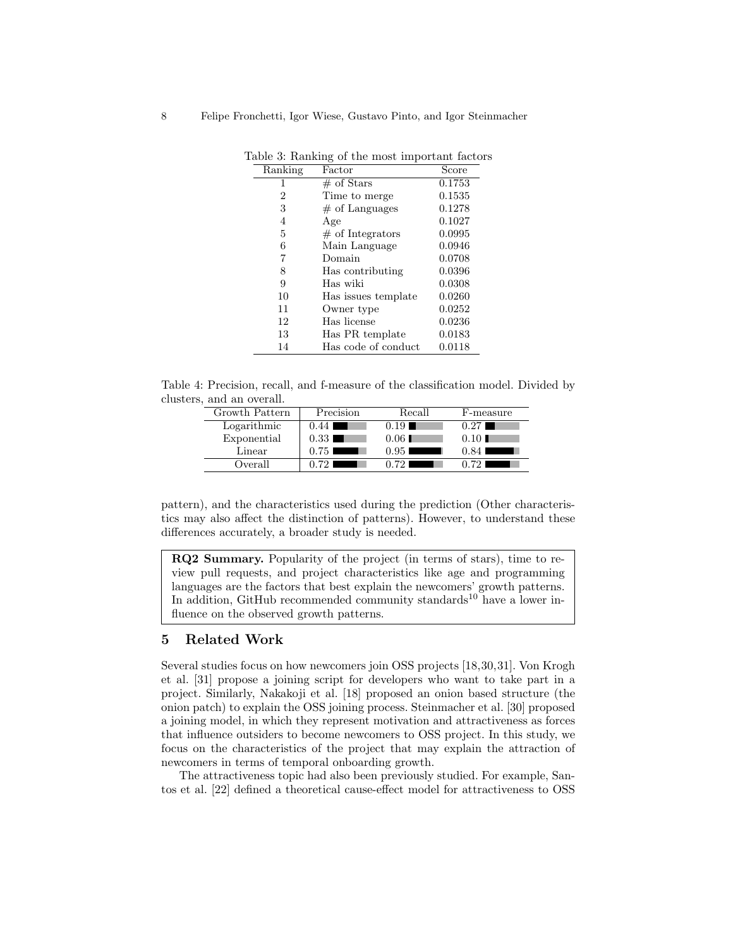| Ranking | Factor                   | Score  |
|---------|--------------------------|--------|
| 1       | $\overline{\#}$ of Stars | 0.1753 |
| 2       | Time to merge            | 0.1535 |
| 3       | $\#$ of Languages        | 0.1278 |
| 4       | Age                      | 0.1027 |
| 5       | $\#$ of Integrators      | 0.0995 |
| 6       | Main Language            | 0.0946 |
| 7       | Domain                   | 0.0708 |
| 8       | Has contributing         | 0.0396 |
| 9       | Has wiki                 | 0.0308 |
| 10      | Has issues template      | 0.0260 |
| 11      | Owner type               | 0.0252 |
| 12      | Has license              | 0.0236 |
| 13      | Has PR template          | 0.0183 |
| 14      | Has code of conduct      | 0.0118 |

Table 3: Ranking of the most important factors

Table 4: Precision, recall, and f-measure of the classification model. Divided by clusters, and an overall.

| Growth Pattern | Precision | Recall                | F-measure             |
|----------------|-----------|-----------------------|-----------------------|
| Logarithmic    | $0.44$ 1  | $0.19$ $\blacksquare$ | $0.27$ $\blacksquare$ |
| Exponential    | $0.33$ 1  | $0.06$ I              | 0.10                  |
| Linear         | 0.75      | 0.95                  | 0.84                  |
| Overall        | 0.72      | 0.721                 | 0.72                  |

pattern), and the characteristics used during the prediction (Other characteristics may also affect the distinction of patterns). However, to understand these differences accurately, a broader study is needed.

RQ2 Summary. Popularity of the project (in terms of stars), time to review pull requests, and project characteristics like age and programming languages are the factors that best explain the newcomers' growth patterns. In addition, GitHub recommended community standards<sup>10</sup> have a lower influence on the observed growth patterns.

## 5 Related Work

Several studies focus on how newcomers join OSS projects [18,30,31]. Von Krogh et al. [31] propose a joining script for developers who want to take part in a project. Similarly, Nakakoji et al. [18] proposed an onion based structure (the onion patch) to explain the OSS joining process. Steinmacher et al. [30] proposed a joining model, in which they represent motivation and attractiveness as forces that influence outsiders to become newcomers to OSS project. In this study, we focus on the characteristics of the project that may explain the attraction of newcomers in terms of temporal onboarding growth.

The attractiveness topic had also been previously studied. For example, Santos et al. [22] defined a theoretical cause-effect model for attractiveness to OSS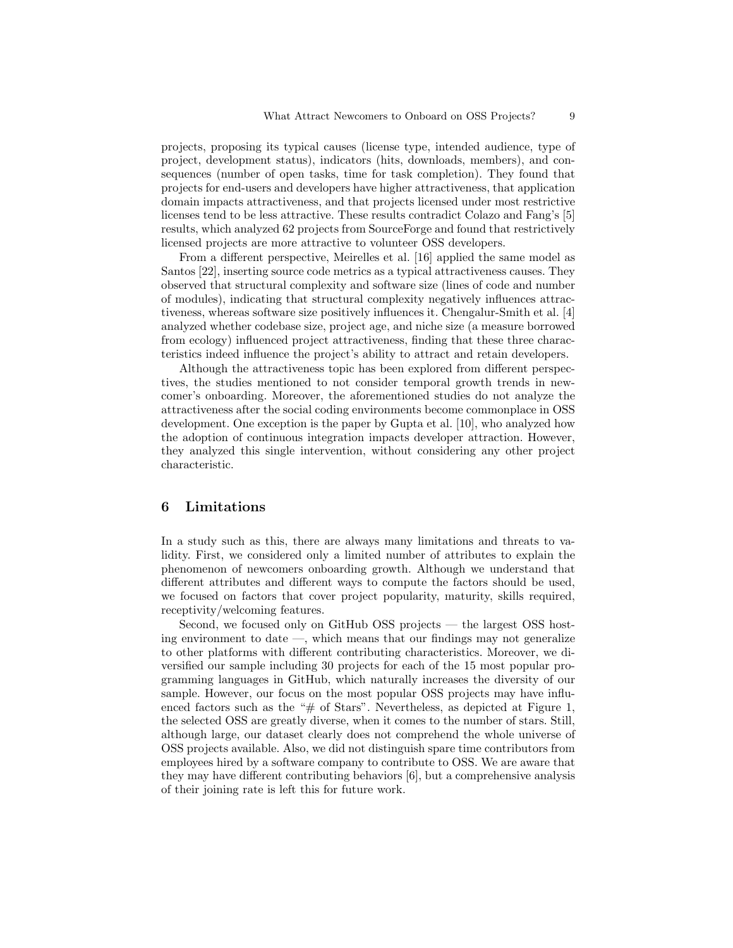projects, proposing its typical causes (license type, intended audience, type of project, development status), indicators (hits, downloads, members), and consequences (number of open tasks, time for task completion). They found that projects for end-users and developers have higher attractiveness, that application domain impacts attractiveness, and that projects licensed under most restrictive licenses tend to be less attractive. These results contradict Colazo and Fang's [5] results, which analyzed 62 projects from SourceForge and found that restrictively licensed projects are more attractive to volunteer OSS developers.

From a different perspective, Meirelles et al. [16] applied the same model as Santos [22], inserting source code metrics as a typical attractiveness causes. They observed that structural complexity and software size (lines of code and number of modules), indicating that structural complexity negatively influences attractiveness, whereas software size positively influences it. Chengalur-Smith et al. [4] analyzed whether codebase size, project age, and niche size (a measure borrowed from ecology) influenced project attractiveness, finding that these three characteristics indeed influence the project's ability to attract and retain developers.

Although the attractiveness topic has been explored from different perspectives, the studies mentioned to not consider temporal growth trends in newcomer's onboarding. Moreover, the aforementioned studies do not analyze the attractiveness after the social coding environments become commonplace in OSS development. One exception is the paper by Gupta et al. [10], who analyzed how the adoption of continuous integration impacts developer attraction. However, they analyzed this single intervention, without considering any other project characteristic.

### 6 Limitations

In a study such as this, there are always many limitations and threats to validity. First, we considered only a limited number of attributes to explain the phenomenon of newcomers onboarding growth. Although we understand that different attributes and different ways to compute the factors should be used, we focused on factors that cover project popularity, maturity, skills required, receptivity/welcoming features.

Second, we focused only on GitHub OSS projects — the largest OSS hosting environment to date —, which means that our findings may not generalize to other platforms with different contributing characteristics. Moreover, we diversified our sample including 30 projects for each of the 15 most popular programming languages in GitHub, which naturally increases the diversity of our sample. However, our focus on the most popular OSS projects may have influenced factors such as the "# of Stars". Nevertheless, as depicted at Figure 1, the selected OSS are greatly diverse, when it comes to the number of stars. Still, although large, our dataset clearly does not comprehend the whole universe of OSS projects available. Also, we did not distinguish spare time contributors from employees hired by a software company to contribute to OSS. We are aware that they may have different contributing behaviors [6], but a comprehensive analysis of their joining rate is left this for future work.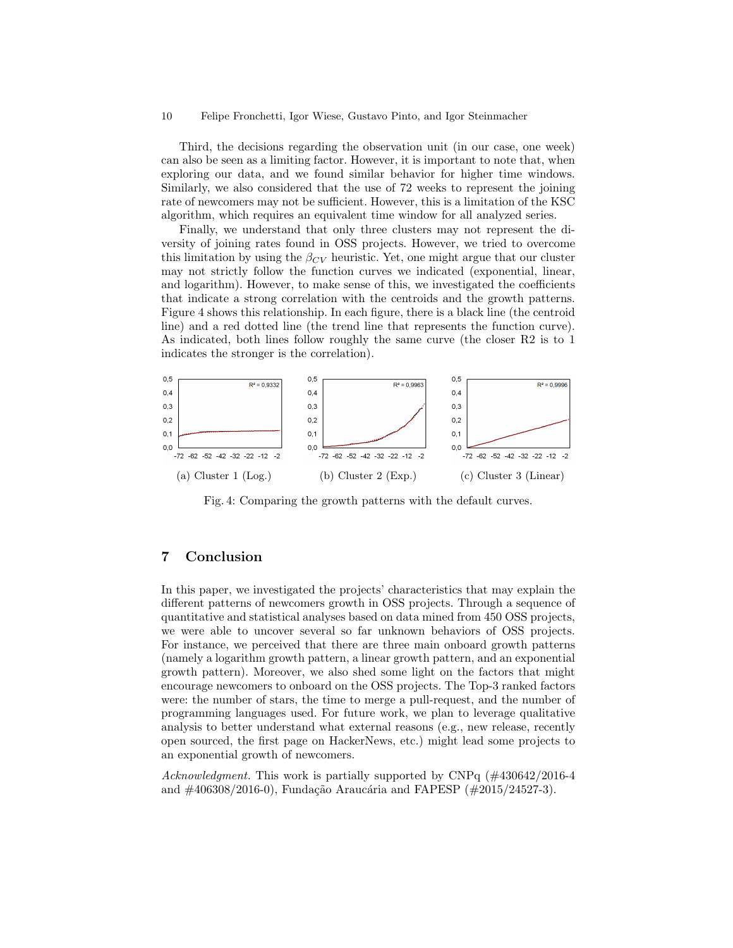#### 10 Felipe Fronchetti, Igor Wiese, Gustavo Pinto, and Igor Steinmacher

Third, the decisions regarding the observation unit (in our case, one week) can also be seen as a limiting factor. However, it is important to note that, when exploring our data, and we found similar behavior for higher time windows. Similarly, we also considered that the use of 72 weeks to represent the joining rate of newcomers may not be sufficient. However, this is a limitation of the KSC algorithm, which requires an equivalent time window for all analyzed series.

Finally, we understand that only three clusters may not represent the diversity of joining rates found in OSS projects. However, we tried to overcome this limitation by using the  $\beta_{CV}$  heuristic. Yet, one might argue that our cluster may not strictly follow the function curves we indicated (exponential, linear, and logarithm). However, to make sense of this, we investigated the coefficients that indicate a strong correlation with the centroids and the growth patterns. Figure 4 shows this relationship. In each figure, there is a black line (the centroid line) and a red dotted line (the trend line that represents the function curve). As indicated, both lines follow roughly the same curve (the closer R2 is to 1 indicates the stronger is the correlation).



Fig. 4: Comparing the growth patterns with the default curves.

### 7 Conclusion

In this paper, we investigated the projects' characteristics that may explain the different patterns of newcomers growth in OSS projects. Through a sequence of quantitative and statistical analyses based on data mined from 450 OSS projects, we were able to uncover several so far unknown behaviors of OSS projects. For instance, we perceived that there are three main onboard growth patterns (namely a logarithm growth pattern, a linear growth pattern, and an exponential growth pattern). Moreover, we also shed some light on the factors that might encourage newcomers to onboard on the OSS projects. The Top-3 ranked factors were: the number of stars, the time to merge a pull-request, and the number of programming languages used. For future work, we plan to leverage qualitative analysis to better understand what external reasons (e.g., new release, recently open sourced, the first page on HackerNews, etc.) might lead some projects to an exponential growth of newcomers.

Acknowledgment. This work is partially supported by CNPq  $(\#430642/2016-4$ and  $\#406308/2016$ -0), Fundação Araucária and FAPESP ( $\#2015/24527$ -3).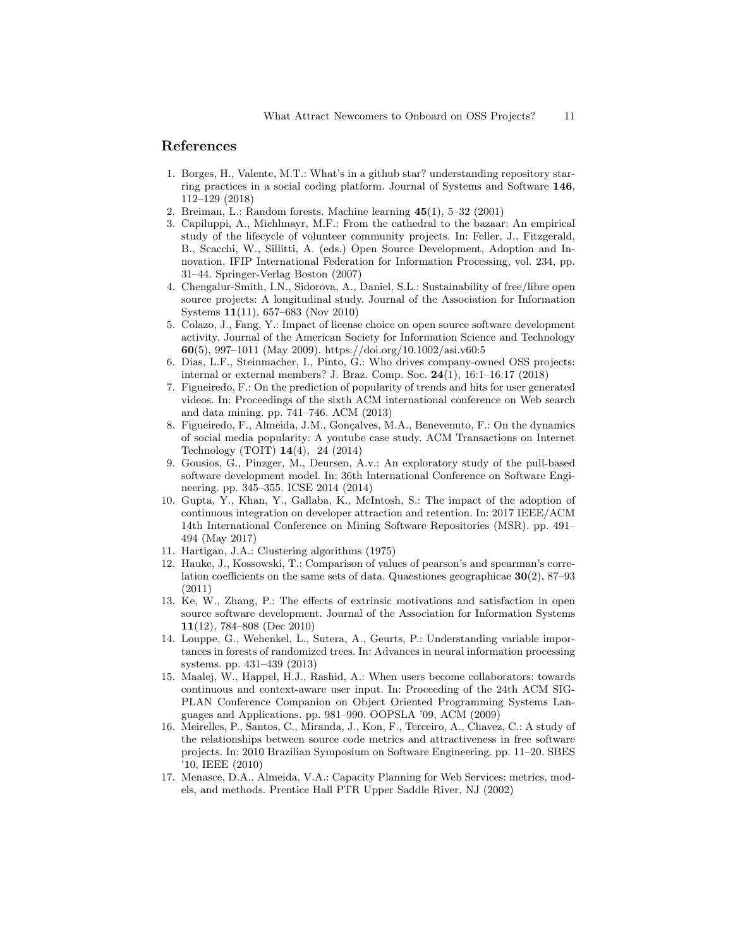#### References

- 1. Borges, H., Valente, M.T.: What's in a github star? understanding repository starring practices in a social coding platform. Journal of Systems and Software 146, 112–129 (2018)
- 2. Breiman, L.: Random forests. Machine learning 45(1), 5–32 (2001)
- 3. Capiluppi, A., Michlmayr, M.F.: From the cathedral to the bazaar: An empirical study of the lifecycle of volunteer community projects. In: Feller, J., Fitzgerald, B., Scacchi, W., Sillitti, A. (eds.) Open Source Development, Adoption and Innovation, IFIP International Federation for Information Processing, vol. 234, pp. 31–44. Springer-Verlag Boston (2007)
- 4. Chengalur-Smith, I.N., Sidorova, A., Daniel, S.L.: Sustainability of free/libre open source projects: A longitudinal study. Journal of the Association for Information Systems 11(11), 657–683 (Nov 2010)
- 5. Colazo, J., Fang, Y.: Impact of license choice on open source software development activity. Journal of the American Society for Information Science and Technology 60(5), 997–1011 (May 2009). https://doi.org/10.1002/asi.v60:5
- 6. Dias, L.F., Steinmacher, I., Pinto, G.: Who drives company-owned OSS projects: internal or external members? J. Braz. Comp. Soc. 24(1), 16:1–16:17 (2018)
- 7. Figueiredo, F.: On the prediction of popularity of trends and hits for user generated videos. In: Proceedings of the sixth ACM international conference on Web search and data mining. pp. 741–746. ACM (2013)
- 8. Figueiredo, F., Almeida, J.M., Gonçalves, M.A., Benevenuto, F.: On the dynamics of social media popularity: A youtube case study. ACM Transactions on Internet Technology (TOIT) 14(4), 24 (2014)
- 9. Gousios, G., Pinzger, M., Deursen, A.v.: An exploratory study of the pull-based software development model. In: 36th International Conference on Software Engineering. pp. 345–355. ICSE 2014 (2014)
- 10. Gupta, Y., Khan, Y., Gallaba, K., McIntosh, S.: The impact of the adoption of continuous integration on developer attraction and retention. In: 2017 IEEE/ACM 14th International Conference on Mining Software Repositories (MSR). pp. 491– 494 (May 2017)
- 11. Hartigan, J.A.: Clustering algorithms (1975)
- 12. Hauke, J., Kossowski, T.: Comparison of values of pearson's and spearman's correlation coefficients on the same sets of data. Quaestiones geographicae 30(2), 87–93 (2011)
- 13. Ke, W., Zhang, P.: The effects of extrinsic motivations and satisfaction in open source software development. Journal of the Association for Information Systems 11(12), 784–808 (Dec 2010)
- 14. Louppe, G., Wehenkel, L., Sutera, A., Geurts, P.: Understanding variable importances in forests of randomized trees. In: Advances in neural information processing systems. pp. 431–439 (2013)
- 15. Maalej, W., Happel, H.J., Rashid, A.: When users become collaborators: towards continuous and context-aware user input. In: Proceeding of the 24th ACM SIG-PLAN Conference Companion on Object Oriented Programming Systems Languages and Applications. pp. 981–990. OOPSLA '09, ACM (2009)
- 16. Meirelles, P., Santos, C., Miranda, J., Kon, F., Terceiro, A., Chavez, C.: A study of the relationships between source code metrics and attractiveness in free software projects. In: 2010 Brazilian Symposium on Software Engineering. pp. 11–20. SBES '10, IEEE (2010)
- 17. Menasce, D.A., Almeida, V.A.: Capacity Planning for Web Services: metrics, models, and methods. Prentice Hall PTR Upper Saddle River, NJ (2002)